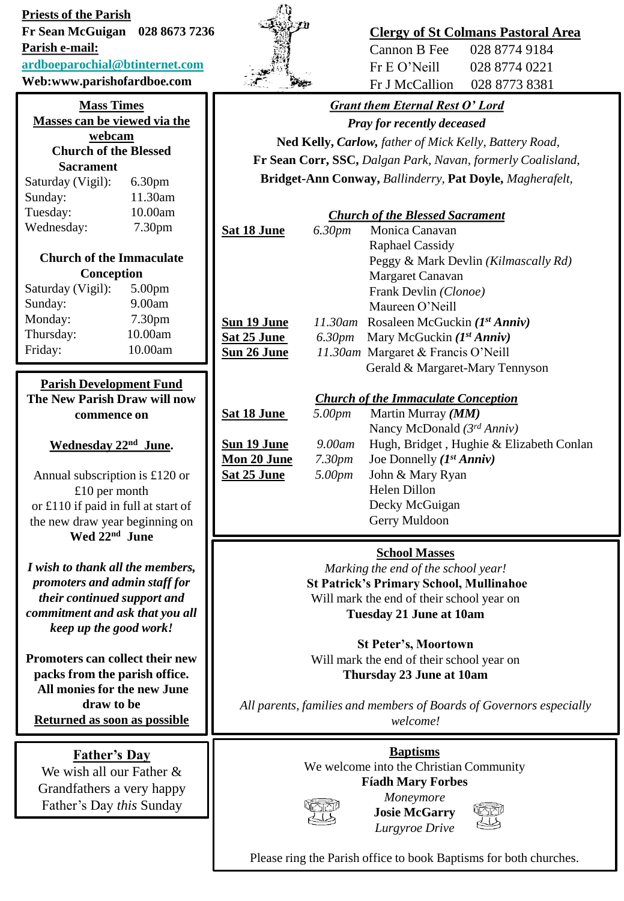**Priests of the Parish Fr Sean McGuigan 028 8673 7236 Parish e-mail:**

**[ardboeparochial@btinternet.com](mailto:ardboeparochial@btinternet.com)**

**Web:www.parishofardboe.com**

| <b>Mass Times</b><br>Masses can be viewed via the |                    |  |  |
|---------------------------------------------------|--------------------|--|--|
| webcam                                            |                    |  |  |
| <b>Church of the Blessed</b>                      |                    |  |  |
| Sacrament                                         |                    |  |  |
| Saturday (Vigil):                                 | 6.30 <sub>pm</sub> |  |  |
| Sunday:                                           | 11.30am            |  |  |
| Tuesday:                                          | 10.00am            |  |  |
| Wednesday:                                        | 7.30 <sub>pm</sub> |  |  |
| <b>Church of the Immaculate</b>                   |                    |  |  |
| Conception                                        |                    |  |  |
| Saturday (Vigil):                                 | 5.00 <sub>pm</sub> |  |  |
| Sunday:                                           | 9.00am             |  |  |
| Monday:                                           | 7.30 <sub>pm</sub> |  |  |
| Thursday:                                         | 10.00am            |  |  |
| Friday:                                           | 10.00am            |  |  |
|                                                   |                    |  |  |

**Parish Development Fund The New Parish Draw will now commence on** 

**Wednesday 22nd June.**

Annual subscription is £120 or £10 per month or £110 if paid in full at start of the new draw year beginning on **Wed 22nd June**

*I wish to thank all the members, promoters and admin staff for their continued support and commitment and ask that you all keep up the good work!*

**Promoters can collect their new packs from the parish office. All monies for the new June draw to be Returned as soon as possible**

### **Father's Day**

We wish all our Father & Grandfathers a very happy Father's Day *this* Sunday



# **Clergy of St Colmans Pastoral Area**

Cannon B Fee 028 8774 9184 Fr E O'Neill 028 8774 0221 Fr J McCallion 028 8773 8381

## *Grant them Eternal Rest O' Lord*

*Pray for recently deceased*

**Ned Kelly,** *Carlow, father of Mick Kelly, Battery Road,* **Fr Sean Corr, SSC,** *Dalgan Park, Navan, formerly Coalisland,* **Bridget-Ann Conway,** *Ballinderry,* **Pat Doyle,** *Magherafelt,* 

**Sat 18 June** 

**Sun 19 June** *11.30am* Rosaleen McGuckin *(1st Anniv)* **Sat 25 June Sun 26 Jun** 

**Sat 18 June** *5.00pm* Martin Murray *(MM)*

 $Sun 19$  June **Mon 20 June** *7.30pm* Joe Donnelly *(1st Anniv)* **Sat 25 June**  *Church of the Blessed Sacrament*

| e              | 6.30pm | Monica Canavan                                    |
|----------------|--------|---------------------------------------------------|
|                |        | Raphael Cassidy                                   |
|                |        | Peggy & Mark Devlin (Kilmascally Rd)              |
|                |        | Margaret Canavan                                  |
|                |        | Frank Devlin (Clonoe)                             |
|                |        | Maureen O'Neill                                   |
| <u>ie</u>      |        | 11.30am Rosaleen McGuckin (1 <sup>st</sup> Anniv) |
| $\overline{e}$ | 6.30pm | Mary McGuckin $(Ist Anniv)$                       |
| <u>ie</u>      |        | 11.30am Margaret & Francis O'Neill                |
|                |        | Gerald & Margaret-Mary Tennyson                   |
|                |        |                                                   |
|                |        | <b>Church of the Immaculate Conception</b>        |
| $\mathbf{e}$   |        | 5.00pm Martin Murray (MM)                         |
|                |        |                                                   |

|           | $\sim\!\cdot\!\cdot\!\cdot\!\cdot\!\cdot$ |                                          |
|-----------|-------------------------------------------|------------------------------------------|
|           |                                           | Nancy McDonald $(3^{rd} Anniv)$          |
| Ê         | 9.00am                                    | Hugh, Bridget, Hughie & Elizabeth Conlan |
| <u>le</u> | 7.30 <sub>pm</sub>                        | Joe Donnelly $(I^{st} Anniv)$            |
|           | 5.00pm                                    | John & Mary Ryan                         |
|           |                                           | Helen Dillon                             |
|           |                                           | Decky McGuigan                           |
|           |                                           | Gerry Muldoon                            |
|           |                                           |                                          |

### **School Masses**

*Marking the end of the school year!* **St Patrick's Primary School, Mullinahoe** Will mark the end of their school year on **Tuesday 21 June at 10am**

**St Peter's, Moortown** Will mark the end of their school year on **Thursday 23 June at 10am**

*All parents, families and members of Boards of Governors especially welcome!*

> **Baptisms** We welcome into the Christian Community **Fíadh Mary Forbes**

*Moneymore* **Josie McGarry** *Lurgyroe Drive*



Please ring the Parish office to book Baptisms for both churches.